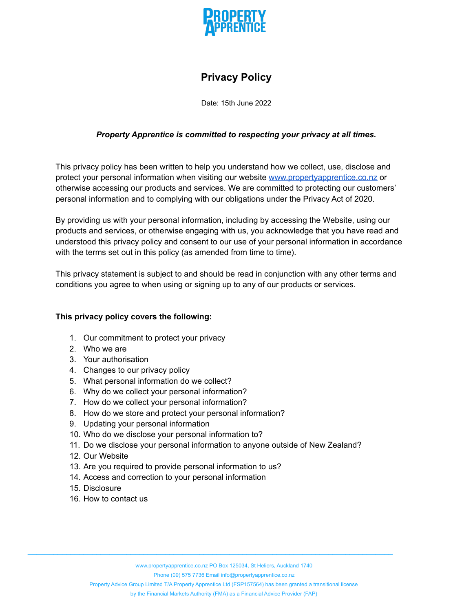

# **Privacy Policy**

Date: 15th June 2022

# *Property Apprentice is committed to respecting your privacy at all times.*

This privacy policy has been written to help you understand how we collect, use, disclose and protect your personal information when visiting our website [www.propertyapprentice.co.nz](http://www.propertyapprentice.co.nz) or otherwise accessing our products and services. We are committed to protecting our customers' personal information and to complying with our obligations under the Privacy Act of 2020.

By providing us with your personal information, including by accessing the Website, using our products and services, or otherwise engaging with us, you acknowledge that you have read and understood this privacy policy and consent to our use of your personal information in accordance with the terms set out in this policy (as amended from time to time).

This privacy statement is subject to and should be read in conjunction with any other terms and conditions you agree to when using or signing up to any of our products or services.

# **This privacy policy covers the following:**

- 1. Our commitment to protect your privacy
- 2. Who we are
- 3. Your authorisation
- 4. Changes to our privacy policy
- 5. What personal information do we collect?
- 6. Why do we collect your personal information?
- 7. How do we collect your personal information?
- 8. How do we store and protect your personal information?
- 9. Updating your personal information
- 10. Who do we disclose your personal information to?
- 11. Do we disclose your personal information to anyone outside of New Zealand?
- 12. Our Website
- 13. Are you required to provide personal information to us?
- 14. Access and correction to your personal information
- 15. Disclosure
- 16. How to contact us

Phone (09) 575 7736 Email info@propertyapprentice.co.nz

Property Advice Group Limited T/A Property Apprentice Ltd (FSP157564) has been granted a transitional license

by the Financial Markets Authority (FMA) as a Financial Advice Provider (FAP)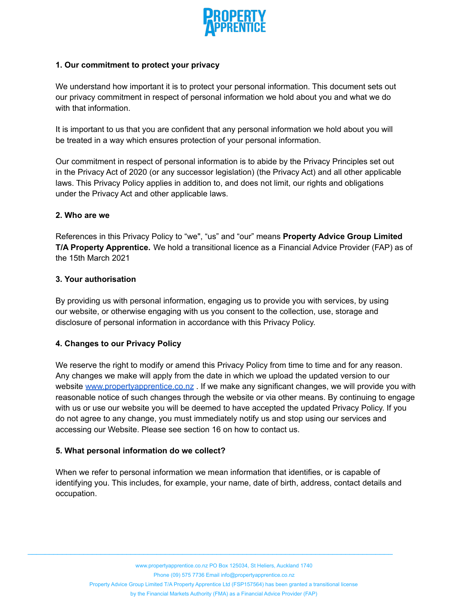

## **1. Our commitment to protect your privacy**

We understand how important it is to protect your personal information. This document sets out our privacy commitment in respect of personal information we hold about you and what we do with that information.

It is important to us that you are confident that any personal information we hold about you will be treated in a way which ensures protection of your personal information.

Our commitment in respect of personal information is to abide by the Privacy Principles set out in the Privacy Act of 2020 (or any successor legislation) (the Privacy Act) and all other applicable laws. This Privacy Policy applies in addition to, and does not limit, our rights and obligations under the Privacy Act and other applicable laws.

## **2. Who are we**

References in this Privacy Policy to "we", "us" and "our" means **Property Advice Group Limited T/A Property Apprentice.** We hold a transitional licence as a Financial Advice Provider (FAP) as of the 15th March 2021

## **3. Your authorisation**

By providing us with personal information, engaging us to provide you with services, by using our website, or otherwise engaging with us you consent to the collection, use, storage and disclosure of personal information in accordance with this Privacy Policy.

# **4. Changes to our Privacy Policy**

We reserve the right to modify or amend this Privacy Policy from time to time and for any reason. Any changes we make will apply from the date in which we upload the updated version to our website [www.propertyapprentice.co.nz](http://www.propertyapprentice.co.nz). If we make any significant changes, we will provide you with reasonable notice of such changes through the website or via other means. By continuing to engage with us or use our website you will be deemed to have accepted the updated Privacy Policy. If you do not agree to any change, you must immediately notify us and stop using our services and accessing our Website. Please see section 16 on how to contact us.

## **5. What personal information do we collect?**

When we refer to personal information we mean information that identifies, or is capable of identifying you. This includes, for example, your name, date of birth, address, contact details and occupation.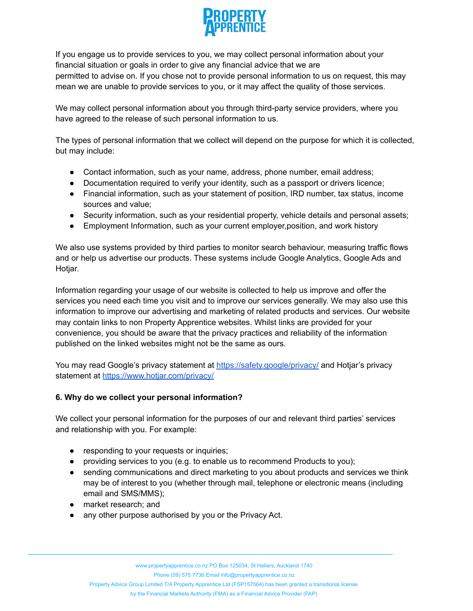

If you engage us to provide services to you, we may collect personal information about your financial situation or goals in order to give any financial advice that we are permitted to advise on. If you chose not to provide personal information to us on request, this may mean we are unable to provide services to you, or it may affect the quality of those services.

We may collect personal information about you through third-party service providers, where you have agreed to the release of such personal information to us.

The types of personal information that we collect will depend on the purpose for which it is collected, but may include:

- Contact information, such as your name, address, phone number, email address;
- Documentation required to verify your identity, such as a passport or drivers licence;
- Financial information, such as your statement of position, IRD number, tax status, income sources and value;
- Security information, such as your residential property, vehicle details and personal assets;
- Employment Information, such as your current employer,position, and work history

We also use systems provided by third parties to monitor search behaviour, measuring traffic flows and or help us advertise our products. These systems include Google Analytics, Google Ads and Hotjar.

Information regarding your usage of our website is collected to help us improve and offer the services you need each time you visit and to improve our services generally. We may also use this information to improve our advertising and marketing of related products and services. Our website may contain links to non Property Apprentice websites. Whilst links are provided for your convenience, you should be aware that the privacy practices and reliability of the information published on the linked websites might not be the same as ours.

You may read Google's privacy statement at <https://safety.google/privacy/> and Hotjar's privacy statement at <https://www.hotjar.com/privacy/>

# **6. Why do we collect your personal information?**

We collect your personal information for the purposes of our and relevant third parties' services and relationship with you. For example:

- responding to your requests or inquiries;
- providing services to you (e.g. to enable us to recommend Products to you);
- sending communications and direct marketing to you about products and services we think may be of interest to you (whether through mail, telephone or electronic means (including email and SMS/MMS);
- market research; and
- any other purpose authorised by you or the Privacy Act.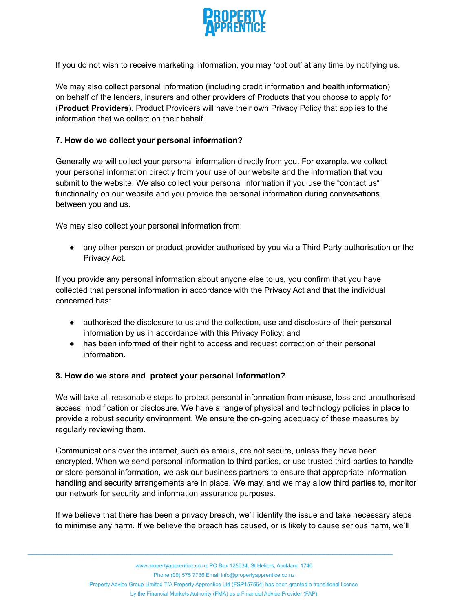

If you do not wish to receive marketing information, you may 'opt out' at any time by notifying us.

We may also collect personal information (including credit information and health information) on behalf of the lenders, insurers and other providers of Products that you choose to apply for (**Product Providers**). Product Providers will have their own Privacy Policy that applies to the information that we collect on their behalf.

## **7. How do we collect your personal information?**

Generally we will collect your personal information directly from you. For example, we collect your personal information directly from your use of our website and the information that you submit to the website. We also collect your personal information if you use the "contact us" functionality on our website and you provide the personal information during conversations between you and us.

We may also collect your personal information from:

● any other person or product provider authorised by you via a Third Party authorisation or the Privacy Act.

If you provide any personal information about anyone else to us, you confirm that you have collected that personal information in accordance with the Privacy Act and that the individual concerned has:

- authorised the disclosure to us and the collection, use and disclosure of their personal information by us in accordance with this Privacy Policy; and
- has been informed of their right to access and request correction of their personal information.

## **8. How do we store and protect your personal information?**

We will take all reasonable steps to protect personal information from misuse, loss and unauthorised access, modification or disclosure. We have a range of physical and technology policies in place to provide a robust security environment. We ensure the on-going adequacy of these measures by regularly reviewing them.

Communications over the internet, such as emails, are not secure, unless they have been encrypted. When we send personal information to third parties, or use trusted third parties to handle or store personal information, we ask our business partners to ensure that appropriate information handling and security arrangements are in place. We may, and we may allow third parties to, monitor our network for security and information assurance purposes.

If we believe that there has been a privacy breach, we'll identify the issue and take necessary steps to minimise any harm. If we believe the breach has caused, or is likely to cause serious harm, we'll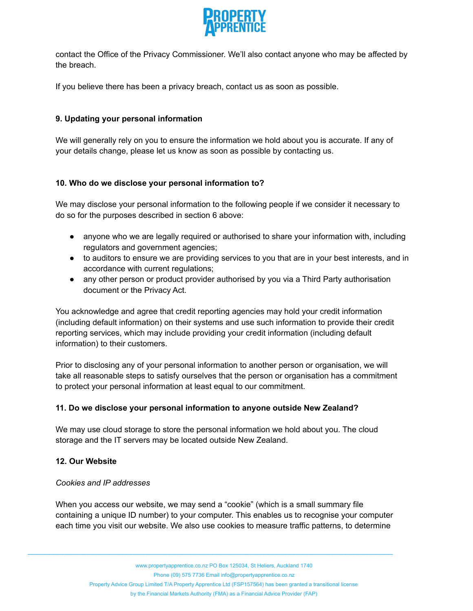

contact the Office of the Privacy Commissioner. We'll also contact anyone who may be affected by the breach.

If you believe there has been a privacy breach, contact us as soon as possible.

## **9. Updating your personal information**

We will generally rely on you to ensure the information we hold about you is accurate. If any of your details change, please let us know as soon as possible by contacting us.

## **10. Who do we disclose your personal information to?**

We may disclose your personal information to the following people if we consider it necessary to do so for the purposes described in section 6 above:

- anyone who we are legally required or authorised to share your information with, including regulators and government agencies;
- to auditors to ensure we are providing services to you that are in your best interests, and in accordance with current regulations;
- any other person or product provider authorised by you via a Third Party authorisation document or the Privacy Act.

You acknowledge and agree that credit reporting agencies may hold your credit information (including default information) on their systems and use such information to provide their credit reporting services, which may include providing your credit information (including default information) to their customers.

Prior to disclosing any of your personal information to another person or organisation, we will take all reasonable steps to satisfy ourselves that the person or organisation has a commitment to protect your personal information at least equal to our commitment.

# **11. Do we disclose your personal information to anyone outside New Zealand?**

We may use cloud storage to store the personal information we hold about you. The cloud storage and the IT servers may be located outside New Zealand.

## **12. Our Website**

## *Cookies and IP addresses*

When you access our website, we may send a "cookie" (which is a small summary file containing a unique ID number) to your computer. This enables us to recognise your computer each time you visit our website. We also use cookies to measure traffic patterns, to determine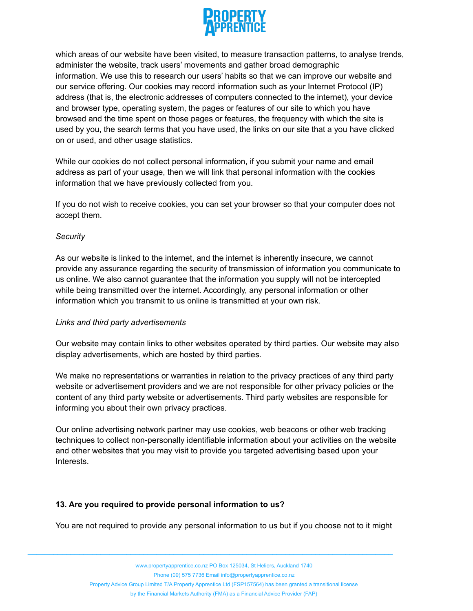

which areas of our website have been visited, to measure transaction patterns, to analyse trends, administer the website, track users' movements and gather broad demographic information. We use this to research our users' habits so that we can improve our website and our service offering. Our cookies may record information such as your Internet Protocol (IP) address (that is, the electronic addresses of computers connected to the internet), your device and browser type, operating system, the pages or features of our site to which you have browsed and the time spent on those pages or features, the frequency with which the site is used by you, the search terms that you have used, the links on our site that a you have clicked on or used, and other usage statistics.

While our cookies do not collect personal information, if you submit your name and email address as part of your usage, then we will link that personal information with the cookies information that we have previously collected from you.

If you do not wish to receive cookies, you can set your browser so that your computer does not accept them.

## *Security*

As our website is linked to the internet, and the internet is inherently insecure, we cannot provide any assurance regarding the security of transmission of information you communicate to us online. We also cannot guarantee that the information you supply will not be intercepted while being transmitted over the internet. Accordingly, any personal information or other information which you transmit to us online is transmitted at your own risk.

## *Links and third party advertisements*

Our website may contain links to other websites operated by third parties. Our website may also display advertisements, which are hosted by third parties.

We make no representations or warranties in relation to the privacy practices of any third party website or advertisement providers and we are not responsible for other privacy policies or the content of any third party website or advertisements. Third party websites are responsible for informing you about their own privacy practices.

Our online advertising network partner may use cookies, web beacons or other web tracking techniques to collect non-personally identifiable information about your activities on the website and other websites that you may visit to provide you targeted advertising based upon your Interests.

# **13. Are you required to provide personal information to us?**

You are not required to provide any personal information to us but if you choose not to it might